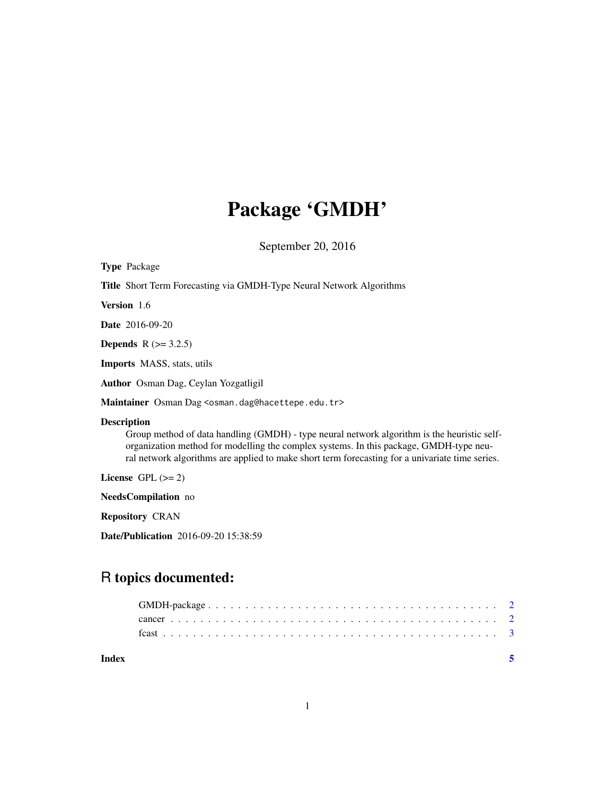# Package 'GMDH'

September 20, 2016

| <b>Type Package</b>                                                                                                                                                                                                                                                                                            |
|----------------------------------------------------------------------------------------------------------------------------------------------------------------------------------------------------------------------------------------------------------------------------------------------------------------|
| <b>Title</b> Short Term Forecasting via GMDH-Type Neural Network Algorithms                                                                                                                                                                                                                                    |
| Version 1.6                                                                                                                                                                                                                                                                                                    |
| <b>Date</b> 2016-09-20                                                                                                                                                                                                                                                                                         |
| <b>Depends</b> $R (= 3.2.5)$                                                                                                                                                                                                                                                                                   |
| <b>Imports</b> MASS, stats, utils                                                                                                                                                                                                                                                                              |
| Author Osman Dag, Ceylan Yozgatligil                                                                                                                                                                                                                                                                           |
| Maintainer Osman Dag <osman.dag@hacettepe.edu.tr></osman.dag@hacettepe.edu.tr>                                                                                                                                                                                                                                 |
| <b>Description</b><br>Group method of data handling (GMDH) - type neural network algorithm is the heuristic self-<br>organization method for modelling the complex systems. In this package, GMDH-type neu-<br>ral network algorithms are applied to make short term forecasting for a univariate time series. |
| License GPL $(>= 2)$                                                                                                                                                                                                                                                                                           |
| NeedsCompilation no                                                                                                                                                                                                                                                                                            |
| <b>Repository CRAN</b>                                                                                                                                                                                                                                                                                         |
| Date/Publication 2016-09-20 15:38:59                                                                                                                                                                                                                                                                           |

# R topics documented:

| Index |  |  |  |  |  |  |  |  |  |  |  |  |  |  |  |  |  |  |  |  |
|-------|--|--|--|--|--|--|--|--|--|--|--|--|--|--|--|--|--|--|--|--|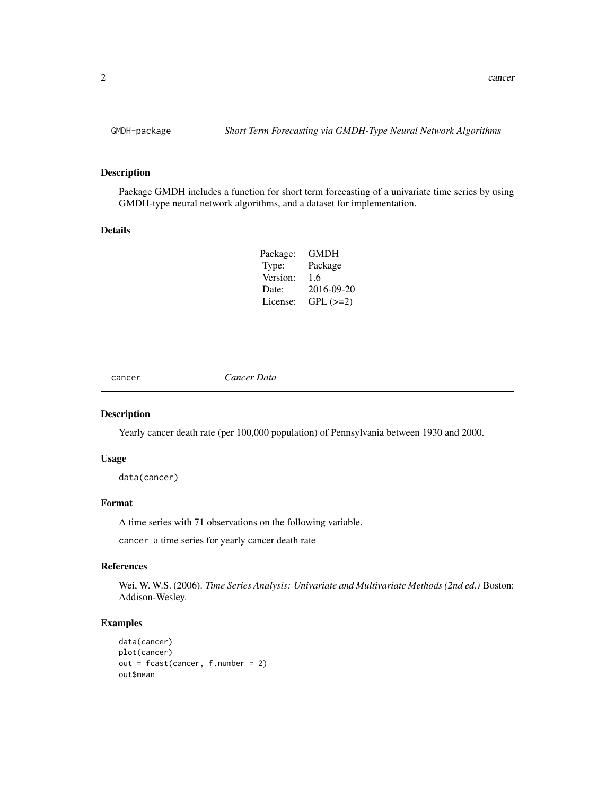# Description

Package GMDH includes a function for short term forecasting of a univariate time series by using GMDH-type neural network algorithms, and a dataset for implementation.

#### Details

| GMDH       |
|------------|
| Package    |
| 1.6        |
| 2016-09-20 |
| $GPL (=2)$ |
|            |

cancer *Cancer Data*

# Description

Yearly cancer death rate (per 100,000 population) of Pennsylvania between 1930 and 2000.

#### Usage

data(cancer)

# Format

A time series with 71 observations on the following variable.

cancer a time series for yearly cancer death rate

#### References

Wei, W. W.S. (2006). *Time Series Analysis: Univariate and Multivariate Methods (2nd ed.)* Boston: Addison-Wesley.

#### Examples

```
data(cancer)
plot(cancer)
out = fcast(cancer, f.number = 2)
out$mean
```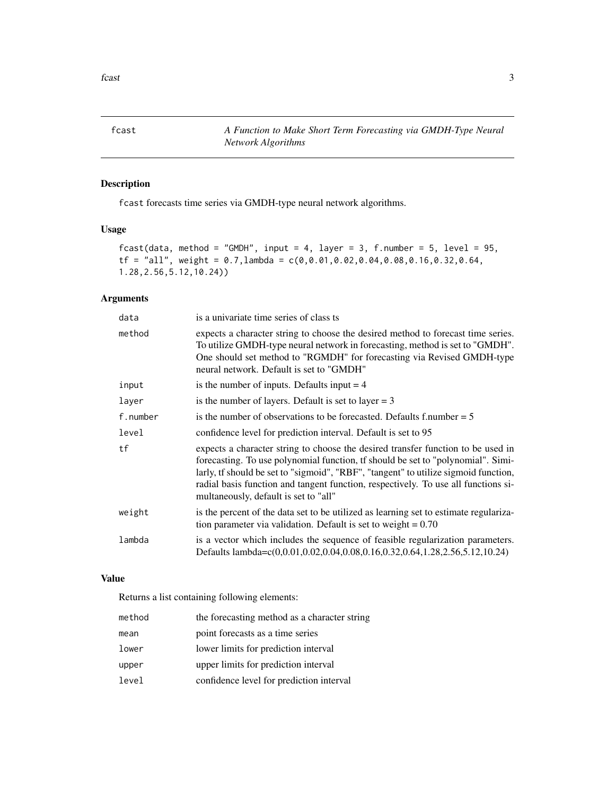<span id="page-2-0"></span>fcast *A Function to Make Short Term Forecasting via GMDH-Type Neural Network Algorithms*

# Description

fcast forecasts time series via GMDH-type neural network algorithms.

# Usage

```
fcast(data, method = "GMDH", input = 4, layer = 3, f.number = 5, level = 95,
tf = "all", weight = 0.7, lambda = c(0, 0.01, 0.02, 0.04, 0.08, 0.16, 0.32, 0.64,1.28,2.56,5.12,10.24))
```
# Arguments

| data     | is a univariate time series of class ts                                                                                                                                                                                                                                                                                                                                                    |
|----------|--------------------------------------------------------------------------------------------------------------------------------------------------------------------------------------------------------------------------------------------------------------------------------------------------------------------------------------------------------------------------------------------|
| method   | expects a character string to choose the desired method to forecast time series.<br>To utilize GMDH-type neural network in forecasting, method is set to "GMDH".<br>One should set method to "RGMDH" for forecasting via Revised GMDH-type<br>neural network. Default is set to "GMDH"                                                                                                     |
| input    | is the number of inputs. Defaults input $=$ 4                                                                                                                                                                                                                                                                                                                                              |
| layer    | is the number of layers. Default is set to layer $= 3$                                                                                                                                                                                                                                                                                                                                     |
| f.number | is the number of observations to be forecasted. Defaults f.number $= 5$                                                                                                                                                                                                                                                                                                                    |
| level    | confidence level for prediction interval. Default is set to 95                                                                                                                                                                                                                                                                                                                             |
| tf       | expects a character string to choose the desired transfer function to be used in<br>forecasting. To use polynomial function, tf should be set to "polynomial". Simi-<br>larly, tf should be set to "sigmoid", "RBF", "tangent" to utilize sigmoid function,<br>radial basis function and tangent function, respectively. To use all functions si-<br>multaneously, default is set to "all" |
| weight   | is the percent of the data set to be utilized as learning set to estimate regulariza-<br>tion parameter via validation. Default is set to weight $= 0.70$                                                                                                                                                                                                                                  |
| lambda   | is a vector which includes the sequence of feasible regularization parameters.<br>Defaults lambda=c(0,0.01,0.02,0.04,0.08,0.16,0.32,0.64,1.28,2.56,5.12,10.24)                                                                                                                                                                                                                             |

## Value

Returns a list containing following elements:

| method | the forecasting method as a character string |
|--------|----------------------------------------------|
| mean   | point forecasts as a time series             |
| lower  | lower limits for prediction interval         |
| upper  | upper limits for prediction interval         |
| level  | confidence level for prediction interval     |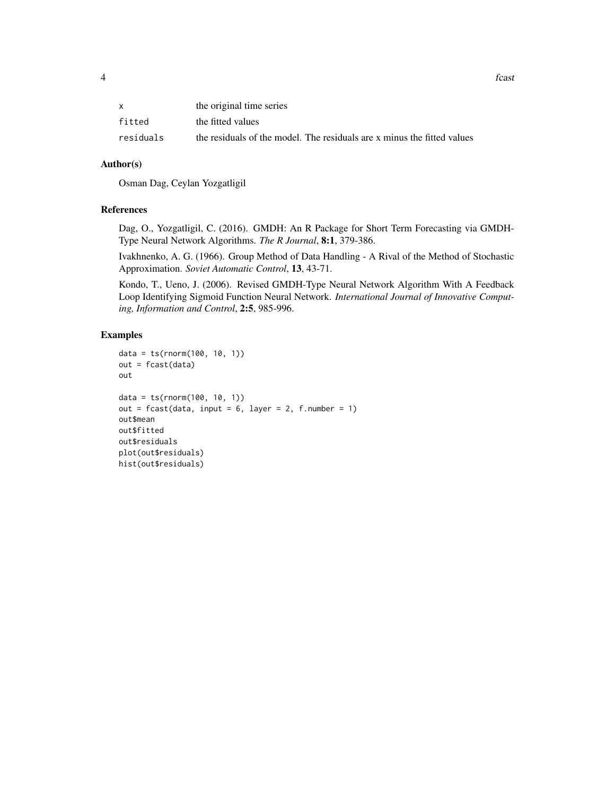|           | the original time series                                                |
|-----------|-------------------------------------------------------------------------|
| fitted    | the fitted values                                                       |
| residuals | the residuals of the model. The residuals are x minus the fitted values |

## Author(s)

Osman Dag, Ceylan Yozgatligil

# References

Dag, O., Yozgatligil, C. (2016). GMDH: An R Package for Short Term Forecasting via GMDH-Type Neural Network Algorithms. *The R Journal*, 8:1, 379-386.

Ivakhnenko, A. G. (1966). Group Method of Data Handling - A Rival of the Method of Stochastic Approximation. *Soviet Automatic Control*, 13, 43-71.

Kondo, T., Ueno, J. (2006). Revised GMDH-Type Neural Network Algorithm With A Feedback Loop Identifying Sigmoid Function Neural Network. *International Journal of Innovative Computing, Information and Control*, 2:5, 985-996.

## Examples

```
data = ts(rnorm(100, 10, 1))
out = fcast(data)
out
data = ts(rnorm(100, 10, 1))
out = fcast(data, input = 6, layer = 2, f_number = 1)out$mean
out$fitted
out$residuals
plot(out$residuals)
hist(out$residuals)
```